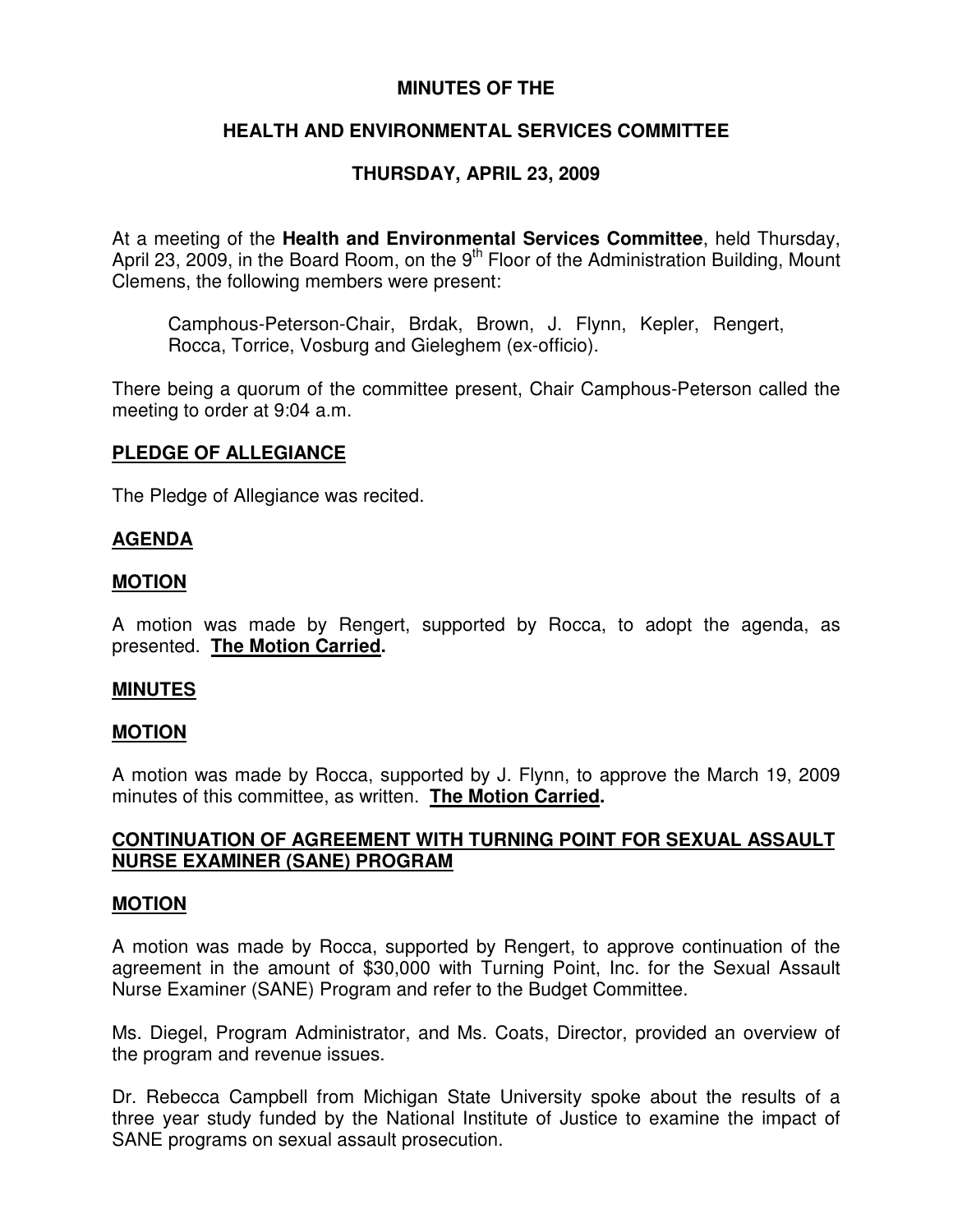### **MINUTES OF THE**

# **HEALTH AND ENVIRONMENTAL SERVICES COMMITTEE**

# **THURSDAY, APRIL 23, 2009**

At a meeting of the **Health and Environmental Services Committee**, held Thursday, April 23, 2009, in the Board Room, on the 9<sup>th</sup> Floor of the Administration Building, Mount Clemens, the following members were present:

Camphous-Peterson-Chair, Brdak, Brown, J. Flynn, Kepler, Rengert, Rocca, Torrice, Vosburg and Gieleghem (ex-officio).

There being a quorum of the committee present, Chair Camphous-Peterson called the meeting to order at 9:04 a.m.

### **PLEDGE OF ALLEGIANCE**

The Pledge of Allegiance was recited.

#### **AGENDA**

#### **MOTION**

A motion was made by Rengert, supported by Rocca, to adopt the agenda, as presented. **The Motion Carried.**

#### **MINUTES**

#### **MOTION**

A motion was made by Rocca, supported by J. Flynn, to approve the March 19, 2009 minutes of this committee, as written. **The Motion Carried.**

### **CONTINUATION OF AGREEMENT WITH TURNING POINT FOR SEXUAL ASSAULT NURSE EXAMINER (SANE) PROGRAM**

#### **MOTION**

A motion was made by Rocca, supported by Rengert, to approve continuation of the agreement in the amount of \$30,000 with Turning Point, Inc. for the Sexual Assault Nurse Examiner (SANE) Program and refer to the Budget Committee.

Ms. Diegel, Program Administrator, and Ms. Coats, Director, provided an overview of the program and revenue issues.

Dr. Rebecca Campbell from Michigan State University spoke about the results of a three year study funded by the National Institute of Justice to examine the impact of SANE programs on sexual assault prosecution.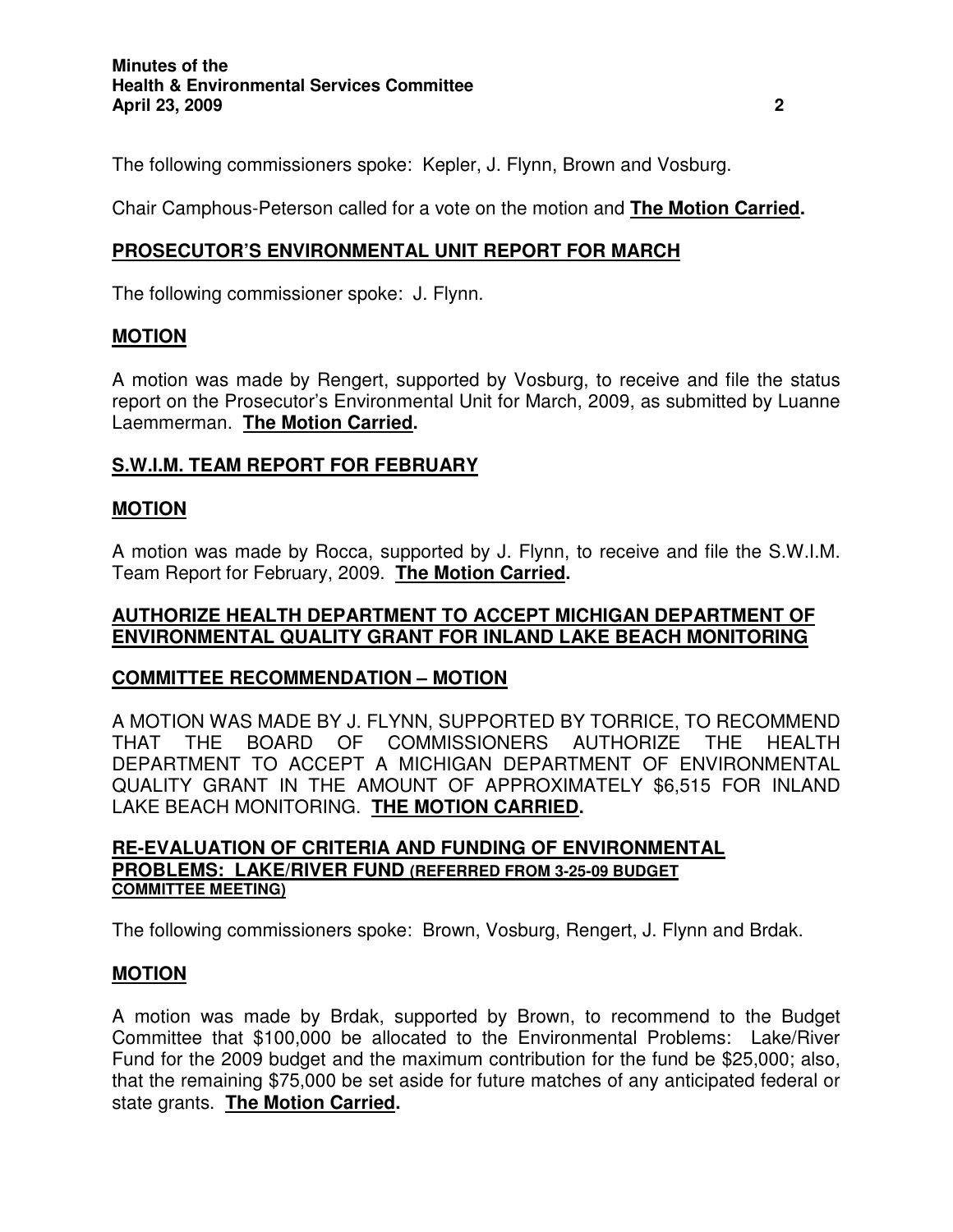The following commissioners spoke: Kepler, J. Flynn, Brown and Vosburg.

Chair Camphous-Peterson called for a vote on the motion and **The Motion Carried.**

# **PROSECUTOR'S ENVIRONMENTAL UNIT REPORT FOR MARCH**

The following commissioner spoke: J. Flynn.

### **MOTION**

A motion was made by Rengert, supported by Vosburg, to receive and file the status report on the Prosecutor's Environmental Unit for March, 2009, as submitted by Luanne Laemmerman. **The Motion Carried.**

## **S.W.I.M. TEAM REPORT FOR FEBRUARY**

### **MOTION**

A motion was made by Rocca, supported by J. Flynn, to receive and file the S.W.I.M. Team Report for February, 2009. **The Motion Carried.**

### **AUTHORIZE HEALTH DEPARTMENT TO ACCEPT MICHIGAN DEPARTMENT OF ENVIRONMENTAL QUALITY GRANT FOR INLAND LAKE BEACH MONITORING**

### **COMMITTEE RECOMMENDATION – MOTION**

A MOTION WAS MADE BY J. FLYNN, SUPPORTED BY TORRICE, TO RECOMMEND THAT THE BOARD OF COMMISSIONERS AUTHORIZE THE HEALTH DEPARTMENT TO ACCEPT A MICHIGAN DEPARTMENT OF ENVIRONMENTAL QUALITY GRANT IN THE AMOUNT OF APPROXIMATELY \$6,515 FOR INLAND LAKE BEACH MONITORING. **THE MOTION CARRIED.**

#### **RE-EVALUATION OF CRITERIA AND FUNDING OF ENVIRONMENTAL PROBLEMS: LAKE/RIVER FUND (REFERRED FROM 3-25-09 BUDGET COMMITTEE MEETING)**

The following commissioners spoke: Brown, Vosburg, Rengert, J. Flynn and Brdak.

### **MOTION**

A motion was made by Brdak, supported by Brown, to recommend to the Budget Committee that \$100,000 be allocated to the Environmental Problems: Lake/River Fund for the 2009 budget and the maximum contribution for the fund be \$25,000; also, that the remaining \$75,000 be set aside for future matches of any anticipated federal or state grants. **The Motion Carried.**